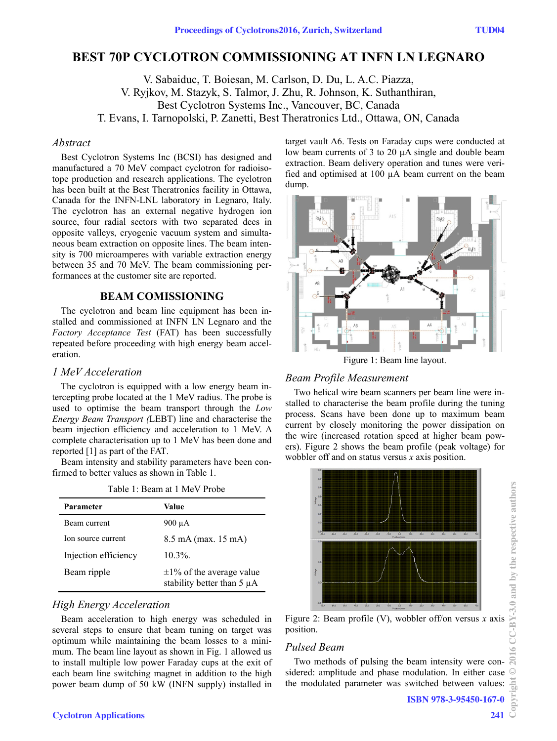# **BEST 70P CYCLOTRON COMMISSIONING AT INFN LN LEGNARO**

V. Sabaiduc, T. Boiesan, M. Carlson, D. Du, L. A.C. Piazza, V. Ryjkov, M. Stazyk, S. Talmor, J. Zhu, R. Johnson, K. Suthanthiran, Best Cyclotron Systems Inc., Vancouver, BC, Canada T. Evans, I. Tarnopolski, P. Zanetti, Best Theratronics Ltd., Ottawa, ON, Canada

#### *Abstract*

Best Cyclotron Systems Inc (BCSI) has designed and manufactured a 70 MeV compact cyclotron for radioisotope production and research applications. The cyclotron has been built at the Best Theratronics facility in Ottawa, Canada for the INFN-LNL laboratory in Legnaro, Italy. The cyclotron has an external negative hydrogen ion source, four radial sectors with two separated dees in opposite valleys, cryogenic vacuum system and simultaneous beam extraction on opposite lines. The beam intensity is 700 microamperes with variable extraction energy between 35 and 70 MeV. The beam commissioning performances at the customer site are reported.

## **BEAM COMISSIONING**

The cyclotron and beam line equipment has been installed and commissioned at INFN LN Legnaro and the *Factory Acceptance Test* (FAT) has been successfully repeated before proceeding with high energy beam acceleration.

## *1 MeV Acceleration*

The cyclotron is equipped with a low energy beam intercepting probe located at the 1 MeV radius. The probe is used to optimise the beam transport through the *Low Energy Beam Transport (*LEBT) line and characterise the beam injection efficiency and acceleration to 1 MeV. A complete characterisation up to 1 MeV has been done and reported [1] as part of the FAT.

Beam intensity and stability parameters have been confirmed to better values as shown in Table 1.

Table 1: Beam at 1 MeV Probe

| Parameter            | Value                                                             |
|----------------------|-------------------------------------------------------------------|
| Beam current         | $900 \mu A$                                                       |
| Ion source current   | 8.5 mA (max. 15 mA)                                               |
| Injection efficiency | $10.3\%$                                                          |
| Beam ripple          | $\pm 1\%$ of the average value<br>stability better than $5 \mu A$ |

## *High Energy Acceleration*

Beam acceleration to high energy was scheduled in several steps to ensure that beam tuning on target was optimum while maintaining the beam losses to a minimum. The beam line layout as shown in Fig. 1 allowed us to install multiple low power Faraday cups at the exit of each beam line switching magnet in addition to the high power beam dump of 50 kW (INFN supply) installed in target vault A6. Tests on Faraday cups were conducted at low beam currents of 3 to 20 µA single and double beam extraction. Beam delivery operation and tunes were verified and optimised at 100 µA beam current on the beam dump.



Figure 1: Beam line layout.

#### *Beam Profile Measurement*

Two helical wire beam scanners per beam line were installed to characterise the beam profile during the tuning process. Scans have been done up to maximum beam current by closely monitoring the power dissipation on the wire (increased rotation speed at higher beam powers). Figure 2 shows the beam profile (peak voltage) for wobbler off and on status versus *x* axis position.



#### *Pulsed Beam*

Two methods of pulsing the beam intensity were considered: amplitude and phase modulation. In either case the modulated parameter was switched between values: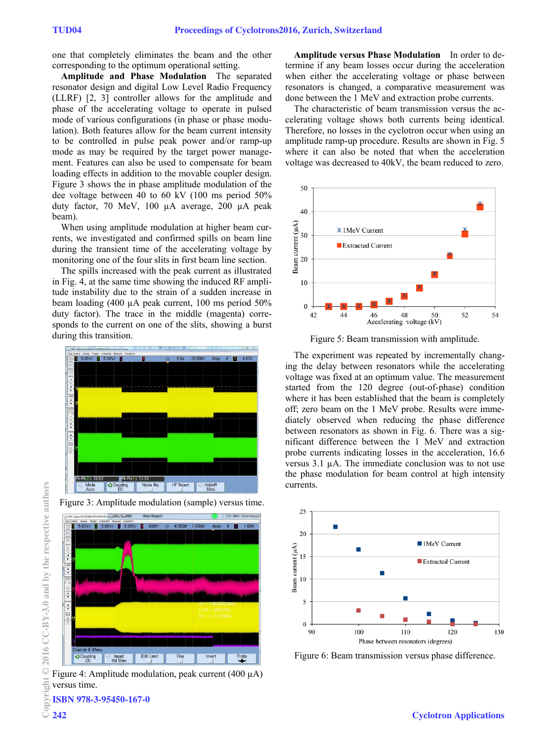one that completely eliminates the beam and the other corresponding to the optimum operational setting.

**Amplitude and Phase Modulation** The separated resonator design and digital Low Level Radio Frequency (LLRF) [2, 3] controller allows for the amplitude and phase of the accelerating voltage to operate in pulsed mode of various configurations (in phase or phase modulation). Both features allow for the beam current intensity to be controlled in pulse peak power and/or ramp-up mode as may be required by the target power management. Features can also be used to compensate for beam loading effects in addition to the movable coupler design. Figure 3 shows the in phase amplitude modulation of the dee voltage between 40 to 60 kV (100 ms period 50% duty factor, 70 MeV, 100 µA average, 200 µA peak beam).

When using amplitude modulation at higher beam currents, we investigated and confirmed spills on beam line during the transient time of the accelerating voltage by monitoring one of the four slits in first beam line section.

The spills increased with the peak current as illustrated in Fig. 4, at the same time showing the induced RF amplitude instability due to the strain of a sudden increase in beam loading (400 µA peak current, 100 ms period 50% duty factor). The trace in the middle (magenta) corresponds to the current on one of the slits, showing a burst during this transition.





Figure 4: Amplitude modulation, peak current (400 µA) versus time.

**Amplitude versus Phase Modulation** In order to determine if any beam losses occur during the acceleration when either the accelerating voltage or phase between resonators is changed, a comparative measurement was done between the 1 MeV and extraction probe currents.

The characteristic of beam transmission versus the accelerating voltage shows both currents being identical. Therefore, no losses in the cyclotron occur when using an amplitude ramp-up procedure. Results are shown in Fig. 5 where it can also be noted that when the acceleration voltage was decreased to 40kV, the beam reduced to zero.



Figure 5: Beam transmission with amplitude.

The experiment was repeated by incrementally changing the delay between resonators while the accelerating voltage was fixed at an optimum value. The measurement started from the 120 degree (out-of-phase) condition where it has been established that the beam is completely off; zero beam on the 1 MeV probe. Results were immediately observed when reducing the phase difference between resonators as shown in Fig. 6. There was a significant difference between the 1 MeV and extraction probe currents indicating losses in the acceleration, 16.6 versus 3.1 µA. The immediate conclusion was to not use the phase modulation for beam control at high intensity currents.



Figure 6: Beam transmission versus phase difference.

Copyright © 2016 CC-BY-3.0 and by the respective authors  $\odot$ đ ISBN 978-3-95450-167-0

2016 CC-BY-3.0 and by the respective authors